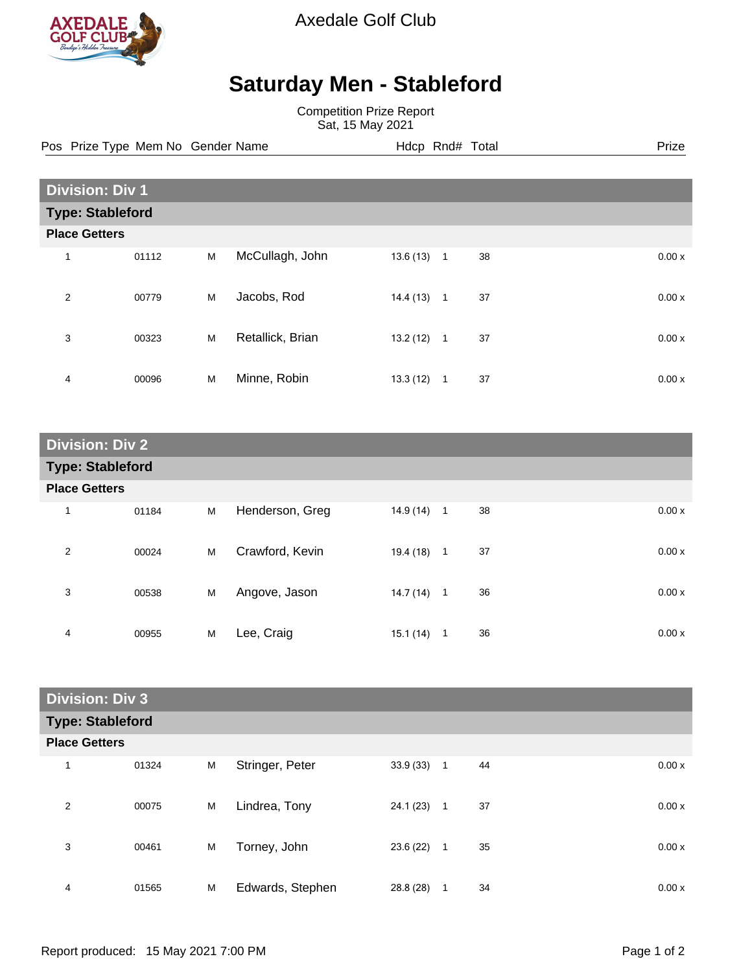

Axedale Golf Club

## **Saturday Men - Stableford**

Competition Prize Report Sat, 15 May 2021

Pos Prize Type Mem No Gender Name **Hdcp Rnd# Total** Prize Prize

| <b>Division: Div 1</b> |                         |   |                  |          |              |    |  |       |
|------------------------|-------------------------|---|------------------|----------|--------------|----|--|-------|
|                        | <b>Type: Stableford</b> |   |                  |          |              |    |  |       |
| <b>Place Getters</b>   |                         |   |                  |          |              |    |  |       |
| 1                      | 01112                   | M | McCullagh, John  | 13.6(13) | $\mathbf{1}$ | 38 |  | 0.00x |
| 2                      | 00779                   | M | Jacobs, Rod      | 14.4(13) | $\mathbf{1}$ | 37 |  | 0.00x |
| 3                      | 00323                   | M | Retallick, Brian | 13.2(12) | $\mathbf{1}$ | 37 |  | 0.00x |
| 4                      | 00096                   | M | Minne, Robin     | 13.3(12) | 1            | 37 |  | 0.00x |

| <b>Division: Div 2</b>  |       |   |                 |              |                |    |       |
|-------------------------|-------|---|-----------------|--------------|----------------|----|-------|
| <b>Type: Stableford</b> |       |   |                 |              |                |    |       |
| <b>Place Getters</b>    |       |   |                 |              |                |    |       |
| 1                       | 01184 | M | Henderson, Greg | $14.9(14)$ 1 |                | 38 | 0.00x |
| $\overline{2}$          | 00024 | M | Crawford, Kevin | 19.4 (18)    | $\mathbf{1}$   | 37 | 0.00x |
| 3                       | 00538 | M | Angove, Jason   | 14.7 (14)    | $\overline{1}$ | 36 | 0.00x |
| 4                       | 00955 | M | Lee, Craig      | 15.1(14)     | 1              | 36 | 0.00x |

| <b>Division: Div 3</b>  |       |   |                  |           |              |    |  |       |
|-------------------------|-------|---|------------------|-----------|--------------|----|--|-------|
| <b>Type: Stableford</b> |       |   |                  |           |              |    |  |       |
| <b>Place Getters</b>    |       |   |                  |           |              |    |  |       |
| 1                       | 01324 | M | Stringer, Peter  | 33.9(33)  | 1            | 44 |  | 0.00x |
| 2                       | 00075 | M | Lindrea, Tony    | 24.1 (23) | $\mathbf{1}$ | 37 |  | 0.00x |
| 3                       | 00461 | M | Torney, John     | 23.6 (22) | $\mathbf{1}$ | 35 |  | 0.00x |
| 4                       | 01565 | M | Edwards, Stephen | 28.8 (28) | 1            | 34 |  | 0.00x |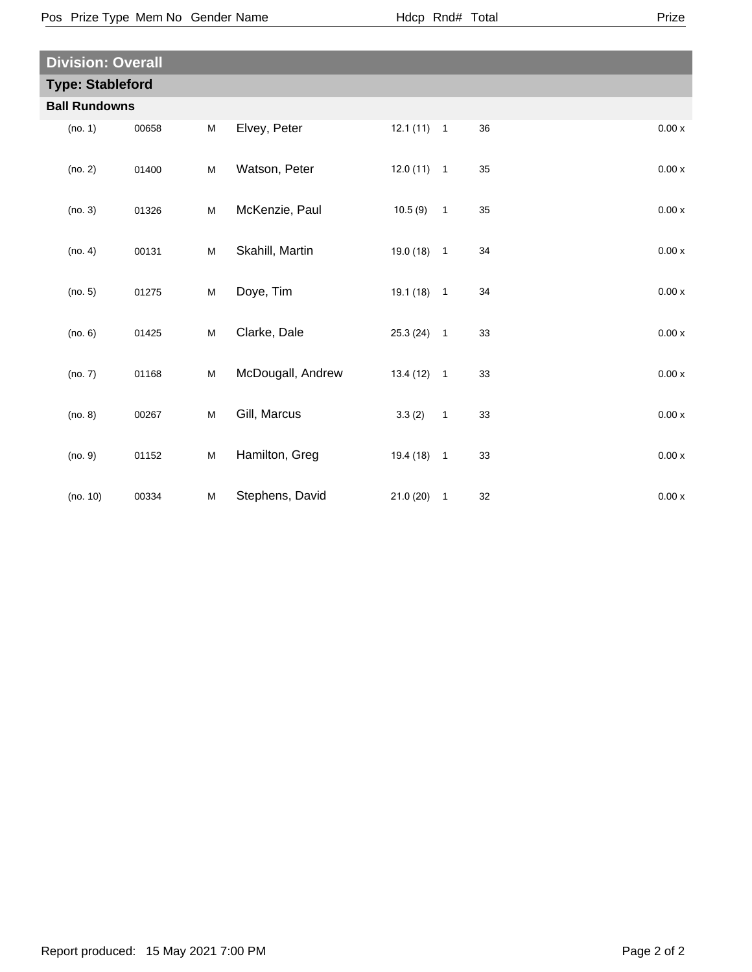$\overline{\phantom{a}}$ 

| <b>Division: Overall</b> |       |   |                   |              |                          |    |       |  |
|--------------------------|-------|---|-------------------|--------------|--------------------------|----|-------|--|
| <b>Type: Stableford</b>  |       |   |                   |              |                          |    |       |  |
| <b>Ball Rundowns</b>     |       |   |                   |              |                          |    |       |  |
| (no. 1)                  | 00658 | M | Elvey, Peter      | $12.1(11)$ 1 |                          | 36 | 0.00x |  |
| (no. 2)                  | 01400 | M | Watson, Peter     | $12.0(11)$ 1 |                          | 35 | 0.00x |  |
| (no. 3)                  | 01326 | M | McKenzie, Paul    | 10.5(9)      | $\overline{\phantom{0}}$ | 35 | 0.00x |  |
| (no. 4)                  | 00131 | M | Skahill, Martin   | $19.0(18)$ 1 |                          | 34 | 0.00x |  |
| (no. 5)                  | 01275 | M | Doye, Tim         | $19.1(18)$ 1 |                          | 34 | 0.00x |  |
| (no. 6)                  | 01425 | M | Clarke, Dale      | $25.3(24)$ 1 |                          | 33 | 0.00x |  |
| (no. 7)                  | 01168 | M | McDougall, Andrew | $13.4(12)$ 1 |                          | 33 | 0.00x |  |
| (no. 8)                  | 00267 | M | Gill, Marcus      | 3.3(2)       | $\overline{1}$           | 33 | 0.00x |  |
| (no. 9)                  | 01152 | M | Hamilton, Greg    | $19.4(18)$ 1 |                          | 33 | 0.00x |  |
| (no. 10)                 | 00334 | M | Stephens, David   | 21.0(20)     | $\overline{\phantom{a}}$ | 32 | 0.00x |  |